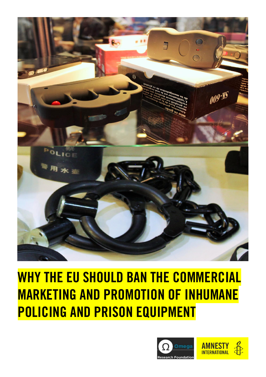

# **WHY THE EU SHOULD BAN THE COMMERCIAL MARKETING AND PROMOTION OF INHUMANE POLICING AND PRISON EQUIPMENT**

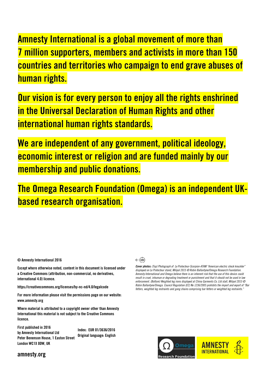**Amnesty International is a global movement of more than 7 million supporters, members and activists in more than 150 countries and territories who campaign to end grave abuses of human rights.**

**Our vision is for every person to enjoy all the rights enshrined in the Universal Declaration of Human Rights and other international human rights standards.**

**We are independent of any government, political ideology, economic interest or religion and are funded mainly by our membership and public donations.**

**The Omega Research Foundation (Omega) is an independent UKbased research organisation.**

**© Amnesty International 2016**

**Except where otherwise noted, content in this document is licensed under a Creative Commons (attribution, non-commercial, no derivatives, international 4.0) licence.**

**<https://creativecommons.org/licenses/by-nc-nd/4.0/legalcode>**

**For more information please visit the permissions page on our website: [www.amnesty.org](http://www.amnesty.org/)**

**Where material is attributed to a copyright owner other than Amnesty International this material is not subject to the Creative Commons licence.**

**First published in 2016 by Amnesty International Ltd Peter Benenson House, 1 Easton Street London WC1X 0DW, UK**

**Index: EUR 01/3636/2016 Original language: English**



*Cover photos: (Top) Photograph of Le Protecteur-Scorpion-ATAM "American electric shock knuckler" displayed on Le Protecteur stand, Milipol 2015 © Robin Ballantyne/Omega Research Foundation. Amnesty International and Omega believe there is an inherent risk that the use of this device could result in cruel, inhuman or degrading treatment or punishment and that it should not be used in law enforcement. (Bottom) Weighted leg irons displayed at China Garments Co. Ltd stall, Milipol 2015 © Robin Ballantyne/Omega. Council Regulation (EC) No 1236/2005 prohibits the import and export of "Bar fetters, weighted leg restraints and gang chains comprising bar fetters or weighted leg restraints."*



# **amnesty.org**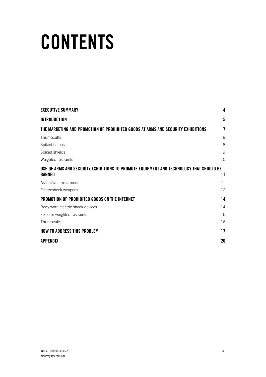# **CONTENTS**

| <b>EXECUTIVE SUMMARY</b>                                                                | 4               |
|-----------------------------------------------------------------------------------------|-----------------|
| <b>INTRODUCTION</b>                                                                     | $5\phantom{.0}$ |
| THE MARKETING AND PROMOTION OF PROHIBITED GOODS AT ARMS AND SECURITY EXHIBITIONS        | 7               |
| Thumbcuffs                                                                              | 8               |
| Spiked batons                                                                           | 8               |
| Spiked shields                                                                          | 9               |
| Weighted restraints                                                                     | 10              |
| USE OF ARMS AND SECURITY EXHIBITIONS TO PROMOTE EQUIPMENT AND TECHNOLOGY THAT SHOULD BE |                 |
| <b>BANNED</b>                                                                           | 11              |
| Assaultive arm armour                                                                   | 11              |
| Electroshock weapons                                                                    | 12              |
| PROMOTION OF PROHIBITED GOODS ON THE INTERNET                                           | 14              |
| Body worn electric shock devices                                                        | 14              |
| Fixed or weighted restraints                                                            | 15              |
| Thumbcuffs                                                                              | 16              |
| <b>HOW TO ADDRESS THIS PROBLEM</b>                                                      | 17              |
| <b>APPENDIX</b>                                                                         | 20              |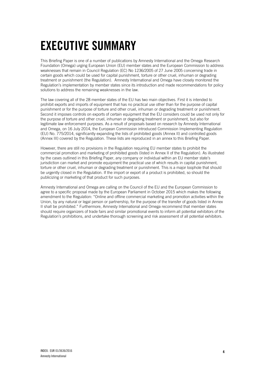# **EXECUTIVE SUMMARY**

This Briefing Paper is one of a number of publications by Amnesty International and the Omega Research Foundation (Omega) urging European Union (EU) member states and the European Commission to address weaknesses that remain in Council Regulation (EC) No 1236/2005 of 27 June 2005 concerning trade in certain goods which could be used for capital punishment, torture or other cruel, inhuman or degrading treatment or punishment (the Regulation). Amnesty International and Omega have closely monitored the Regulation's implementation by member states since its introduction and made recommendations for policy solutions to address the remaining weaknesses in the law.

The law covering all of the 28 member states of the EU has two main objectives. First it is intended to prohibit exports and imports of equipment that has no practical use other than for the purpose of capital punishment or for the purpose of torture and other cruel, inhuman or degrading treatment or punishment. Second it imposes controls on exports of certain equipment that the EU considers could be used not only for the purpose of torture and other cruel, inhuman or degrading treatment or punishment, but also for legitimate law enforcement purposes. As a result of proposals based on research by Amnesty International and Omega, on 16 July 2014, the European Commission introduced Commission Implementing Regulation (EU) No. 775/2014, significantly expanding the lists of prohibited goods (Annex II) and controlled goods (Annex III) covered by the Regulation. These lists are reproduced in an annex to this Briefing Paper.

However, there are still no provisions in the Regulation requiring EU member states to prohibit the commercial promotion and marketing of prohibited goods (listed in Annex II of the Regulation). As illustrated by the cases outlined in this Briefing Paper, any company or individual within an EU member state's jurisdiction can market and promote equipment the practical use of which results in capital punishment, torture or other cruel, inhuman or degrading treatment or punishment. This is a major loophole that should be urgently closed in the Regulation. If the import or export of a product is prohibited, so should the publicizing or marketing of that product for such purposes.

Amnesty International and Omega are calling on the Council of the EU and the European Commission to agree to a specific proposal made by the European Parliament in October 2015 which makes the following amendment to the Regulation: "Online and offline commercial marketing and promotion activities within the Union, by any natural or legal person or partnership, for the purpose of the transfer of goods listed in Annex II shall be prohibited." Furthermore, Amnesty International and Omega recommend that member states should require organizers of trade fairs and similar promotional events to inform all potential exhibitors of the Regulation's prohibitions, and undertake thorough screening and risk assessment of all potential exhibitors.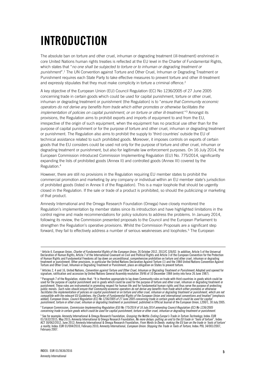# **INTRODUCTION**

The absolute ban on torture and other cruel, inhuman or degrading treatment (ill-treatment) enshrined in core United Nations human rights treaties is reflected at the EU level in the Charter of Fundamental Rights, which states that "*no one shall be subjected to torture or to inhuman or degrading treatment or punishment*". <sup>1</sup> The UN Convention against Torture and Other Cruel, Inhuman or Degrading Treatment or Punishment requires each State Party to take effective measures to prevent torture and other ill-treatment and expressly stipulates that they must make complicity in torture a criminal offence.<sup>2</sup>

A key objective of the European Union (EU) Council Regulation (EC) No 1236/2005 of 27 June 2005 concerning trade in certain goods which could be used for capital punishment, torture or other cruel, inhuman or degrading treatment or punishment (the Regulation) is to "*ensure that Community economic operators do not derive any benefits from trade which either promotes or otherwise facilitates the*  implementation of policies on capital punishment, or on torture or other ill-treatment."<sup>3</sup> Amongst its provisions, the Regulation aims to prohibit exports and imports of equipment to and from the EU, irrespective of the origin of such equipment, when the equipment has no practical use other than for the purpose of capital punishment or for the purpose of torture and other cruel, inhuman or degrading treatment or punishment. The Regulation also aims to prohibit the supply to 'third countries' outside the EU of technical assistance related to such prohibited goods. Moreover, it imposes controls on exports of certain goods that the EU considers could be used not only for the purpose of torture and other cruel, inhuman or degrading treatment or punishment, but also for legitimate law enforcement purposes. On 16 July 2014, the European Commission introduced Commission Implementing Regulation (EU) No. 775/2014, significantly expanding the lists of prohibited goods (Annex II) and controlled goods (Annex III) covered by the Regulation.<sup>4</sup>

However, there are still no provisions in the Regulation requiring EU member states to prohibit the commercial promotion and marketing by any company or individual within an EU member state's jurisdiction of prohibited goods (listed in Annex II of the Regulation). This is a major loophole that should be urgently closed in the Regulation. If the sale or trade of a product is prohibited, so should the publicizing or marketing of that product.

Amnesty International and the Omega Research Foundation (Omega) have closely monitored the Regulation's implementation by member states since its introduction and have highlighted limitations in the control regime and made recommendations for policy solutions to address the problems. In January 2014, following its review, the Commission presented proposals to the Council and the European Parliament to strengthen the Regulation's operative provisions. Whilst the Commission Proposals are a significant step forward, they fail to effectively address a number of serious weaknesses and loopholes. <sup>5</sup> The European

4 European Commission, *Commission Implementing Regulation (EU) No 775/2014 of 16 July 2014 amending Council Regulation (EC) No 1236/2005 concerning trade in certain goods which could be used for capital punishment, torture or other cruel, inhuman or degrading treatment or punishment*.

<sup>&</sup>lt;sup>1</sup> Article 4, European Union, *Charter of Fundamental Rights of the European Union,* 26 October 2012, 2012/C 326/02. In addition, Article 5 of the Universal<br>Declaration of Human Rights, Article 7 of the International Cove of Human Rights and Fundamental Freedoms all lay down an unconditional, comprehensive prohibition on torture and other cruel, inhuman or degrading<br>treatment or punishment. Other provisions, in particular the United Nations Torture and Other Cruel, Inhuman or Degrading Treatment or Punishment, place an obligation on States to prevent torture.

<sup>2</sup> Articles 2, 4 and 16, United Nations, *Convention against Torture and Other Cruel, Inhuman or Degrading Treatment or Punishment*; Adopted and opened for signature, ratification and accession by United Nations General Assembly resolution 39/46 of 10 December 1984 (entry into force 26 June 1987).

<sup>&</sup>lt;sup>3</sup> Paragraph 7 of the Regulation, states that: "It is therefore appropriate to lay down Community rules on trade with third countries in goods which could be used for the purpose of capital punishment and in goods which could be used for the purpose of torture and other cruel, inhuman or degrading treatment or<br>punishment. These rules are instrumental in promoting respect for hu public morals. *Such rules should ensure that Community economic operators do not derive any benefits from trade which either promotes or otherwise*  facilitates the implementation of policies on capital punishment or on torture and other cruel, inhuman or degrading treatment or punishment, which are not<br>compatible with the relevant EU Guidelines, the Charter of Fundame added]. European Union, *Council Regulation (EC) No 1236/2005 of 27 June 2005 concerning trade in certain goods which could be used for capital punishment, torture or other cruel, inhuman or degrading treatment or punishment*, published in Official Journal of the European Union, L200/1, 30 July 2005.

<sup>&</sup>lt;sup>5</sup> See for example: Amnesty International & Omega Research Foundation, *Grasping the Nettle: Ending Europe's Trade in Torture Technology*, Index: EUR<br>01/1632/2015, May 2015; Amnesty International & Omega Research Foundati *a reality*, Index: EUR 01/004/2010, February 2010; Amnesty International, *European Union: Stopping the Trade in Tools of Torture,* Index: POL 34/001/2007,<br>February 2007.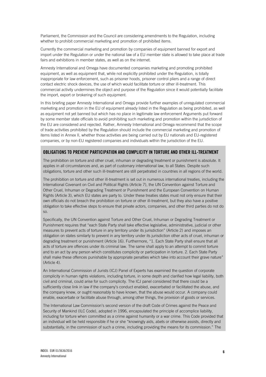Parliament, the Commission and the Council are considering amendments to the Regulation, including whether to prohibit commercial marketing and promotion of prohibited items.

Currently the commercial marketing and promotion by companies of equipment banned for export and import under the Regulation or under the national law of a EU member state is allowed to take place at trade fairs and exhibitions in member states, as well as on the internet.

Amnesty International and Omega have documented companies marketing and promoting prohibited equipment, as well as equipment that, while not explicitly prohibited under the Regulation, is totally inappropriate for law enforcement, such as prisoner hoods, prisoner control pliers and a range of direct contact electric shock devices, the use of which would facilitate torture or other ill-treatment. This commercial activity undermines the object and purpose of the Regulation since it would potentially facilitate the import, export or brokering of such equipment.

In this briefing paper Amnesty International and Omega provide further examples of unregulated commercial marketing and promotion in the EU of equipment already listed in the Regulation as being prohibited, as well as equipment not yet banned but which has no place in legitimate law enforcement Arguments put forward by some member state officials to avoid prohibiting such marketing and promotion within the jurisdiction of the EU are considered and rejected. Rather, Amnesty International and Omega recommend that the scope of trade activities prohibited by the Regulation should include the commercial marketing and promotion of items listed in Annex II, whether those activities are being carried out by EU nationals and EU-registered companies, or by non-EU registered companies and individuals within the jurisdiction of the EU.

# **OBLIGATIONS TO PREVENT PARTICIPATION AND COMPLICITY IN TORTURE AND OTHER ILL-TREATMENT**

The prohibition on torture and other cruel, inhuman or degrading treatment or punishment is absolute. It applies in all circumstances and, as part of customary international law, to all States. Despite such obligations, torture and other such ill-treatment are still perpetrated in countries in all regions of the world.

The prohibition on torture and other ill-treatment is set out in numerous international treaties, including the International Covenant on Civil and Political Rights (Article 7), the UN Convention against Torture and Other Cruel, Inhuman or Degrading Treatment or Punishment and the European Convention on Human Rights (Article 3), which EU states are party to. Under these treaties states must not only ensure that their own officials do not breach the prohibition on torture or other ill-treatment, but they also have a positive obligation to take effective steps to ensure that private actors, companies, and other third parties do not do so.

Specifically, the UN Convention against Torture and Other Cruel, Inhuman or Degrading Treatment or Punishment requires that "each State Party shall take effective legislative, administrative, judicial or other measures to prevent acts of torture in any territory under its jurisdiction" (Article 2) and imposes an obligation on states similarly to prevent in any territory under its jurisdiction other acts of cruel, inhuman or degrading treatment or punishment (Article 16). Furthermore, "1. Each State Party shall ensure that all acts of torture are offences under its criminal law. The same shall apply to an attempt to commit torture and to an act by any person which constitutes complicity or participation in torture. 2. Each State Party shall make these offences punishable by appropriate penalties which take into account their grave nature" (Article 4).

An International Commission of Jurists (ICJ) Panel of Experts has examined the question of corporate complicity in human rights violations, including torture, in some depth and clarified how legal liability, both civil and criminal, could arise for such complicity. The ICJ panel considered that there could be a sufficiently close link in law if the company's conduct enabled, exacerbated or facilitated the abuse, and the company knew, or ought reasonably to have known, that the abuse would occur. A company could enable, exacerbate or facilitate abuse through, among other things, the provision of goods or services.

The International Law Commission's second version of the draft Code of Crimes against the Peace and Security of Mankind (ILC Code), adopted in 1996, encapsulated the principle of accomplice liability, including for torture when committed as a crime against humanity or a war crime. This Code provided that an individual will be held responsible if he or she "knowingly aids, abets or otherwise assists, directly and substantially, in the commission of such a crime, including providing the means for its commission." The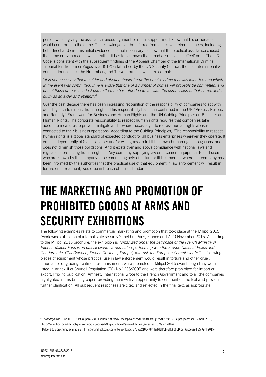person who is giving the assistance, encouragement or moral support must know that his or her actions would contribute to the crime. This knowledge can be inferred from all relevant circumstances, including both direct and circumstantial evidence. It is not necessary to show that the practical assistance caused the crime or even made it worse; rather it has to be shown that it had a 'substantial effect' on it. The ILC Code is consistent with the subsequent findings of the Appeals Chamber of the International Criminal Tribunal for the former Yugoslavia (ICTY) established by the UN Security Council, the first international war crimes tribunal since the Nuremberg and Tokyo tribunals, which ruled that:

"*it is not necessary that the aider and abettor should know the precise crime that was intended and which in the event was committed. If he is aware that one of a number of crimes will probably be committed, and one of those crimes is in fact committed, he has intended to facilitate the commission of that crime, and is guilty as an aider and abettor*".<sup>6</sup>

Over the past decade there has been increasing recognition of the responsibility of companies to act with due diligence to respect human rights. This responsibility has been confirmed in the UN "Protect, Respect and Remedy" Framework for Business and Human Rights and the UN Guiding Principles on Business and Human Rights. The corporate responsibility to respect human rights requires that companies take adequate measures to prevent, mitigate and – where necessary – to redress human rights abuses connected to their business operations. According to the Guiding Principles, "The responsibility to respect human rights is a global standard of expected conduct for all business enterprises wherever they operate. It exists independently of States' abilities and/or willingness to fulfill their own human rights obligations, and does not diminish those obligations. And it exists over and above compliance with national laws and regulations protecting human rights." Any company supplying law enforcement equipment to end users who are known by the company to be committing acts of torture or ill-treatment or where the company has been informed by the authorities that the practical use of that equipment in law enforcement will result in torture or ill-treatment, would be in breach of these standards.

# **THE MARKETING AND PROMOTION OF PROHIBITED GOODS AT ARMS AND SECURITY EXHIBITIONS**

The following examples relate to commercial marketing and promotion that took place at the Milipol 2015 "worldwide exhibition of internal state security"<sup>7</sup> , held in Paris, France on 17-20 November 2015. According to the Milipol 2015 brochure, the exhibition is *"organized under the patronage of the French Ministry of Interior, Milipol Paris is an official event, carried out in partnership with the French National Police and Gendarmerie, Civil Defence, French Customs, Europol, Interpol, the European Commission"<sup>8</sup>* The following pieces of equipment whose practical use in law enforcement would result in torture and other cruel, inhuman or degrading treatment or punishment, were promoted at Milipol 2015 even though they were listed in Annex II of Council Regulation (EC) No 1236/2005 and were therefore prohibited for import or export. Prior to publication, Amnesty International wrote to the French Government and to all the companies highlighted in this briefing paper, providing them with an opportunity to comment on the text and provide further clarification. All subsequent responses are cited and reflected in the final text, as appropriate.

<sup>6</sup> *Furundzija* ICTY T. Ch.II 10.12.1998, para. 246, available at[: www.icty.org/x/cases/furundzija/tjug/en/fur-tj981210e.pdf](http://www.icty.org/x/cases/furundzija/tjug/en/fur-tj981210e.pdf) (accessed 12 April 2016)

<sup>7</sup> <http://en.milipol.com/milipol-paris-exhibition/Accueil-Milipol/Milipol-Paris-exhibition> (accessed 13 March 2016)

<sup>8</sup> Milpol 2015 brochure, available at[: http://en.milipol.com/content/download/197659/2103478/file/MILIPOL-GB%20BD.pdf](http://en.milipol.com/content/download/197659/2103478/file/MILIPOL-GB%20BD.pdf) (accessed 25 April 2015)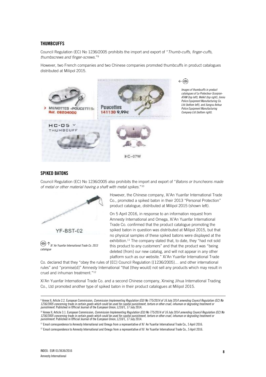# **THUMBCUFFS**

Council Regulation (EC) No 1236/2005 prohibits the import and export of "*Thumb-cuffs, finger-cuffs, thumbscrews and finger-screws*." 9

However, two French companies and two Chinese companies promoted thumbcuffs in product catalogues distributed at Milipol 2015.





*Images of thumbcuffs in product catalogues of Le Protecteur-Scorpion-ATAM (top left), Welkit (top right), Jinniu Police Equipment Manufacturing Co. Ltd (bottom left), and Jiangsu Anhua Police Equipment Manufacturing Company Ltd (bottom right).*

# **SPIKED BATONS**

Council Regulation (EC) No 1236/2005 also prohibits the import and export of "*Batons or truncheons made of metal or other material having a shaft with metal spikes*." 10



 $\circledcirc$ *Xi' An Yuanfar International Trade Co. 2013 catalogue*

However, the Chinese company, Xi'An Yuanfar International Trade Co., promoted a spiked baton in their 2013 "Personal Protection" product catalogue, distributed at Milipol 2015 (shown left).

On 5 April 2016, in response to an information request from Amnesty International and Omega, Xi'An Yuanfar International Trade Co. confirmed that the product catalogue promoting the spiked baton in question was distributed at Milipol 2015, but that no physical samples of these spiked batons were displayed at the exhibition.<sup>11</sup> The company stated that, to date, they "had not sold this product to any customers" and that the product was "being deleted [from] our new catalog, and will not appear in any other platform such as our website." Xi'An Yuanfar International Trade

Co. declared that they "obey the rules of [EC] Council Regulation [[1236/2005]… and other international rules" and "promise[d]" Amnesty International "that [they would] not sell any products which may result in cruel and inhuman treatment." 12

Xi'An Yuanfar International Trade Co. and a second Chinese company, Xinxing Jihua International Trading Co., Ltd promoted another type of spiked baton in their product catalogues at Milipol 2015.

<sup>10</sup> Annex II, Article 3.1. European Commission, *Commission Implementing Regulation (EU) No 775/2014 of 16 July 2014 amending Council Regulation (EC) No 1236/2005 concerning trade in certain goods which could be used for capital punishment, torture or other cruel, inhuman or degrading treatment or<br>punishment. Published in Official Journal of the European Union, L210/1, 17* 

<sup>9</sup> Annex II, Article 2.2. European Commission, *Commission Implementing Regulation (EU) No 775/2014 of 16 July 2014 amending Council Regulation (EC) No 1236/2005 concerning trade in certain goods which could be used for capital punishment, torture or other cruel, inhuman or degrading treatment or punishment.* Published in Official Journal of the European Union, L210/1, 17 July 2014.

<sup>11</sup> Email correspondence to Amnesty International and Omega from a representative of Xi' An Yuanfar International Trade Co., 5 April 2016.

 $12$  Email correspondence to Amnesty International and Omega from a representative of Xi' An Yuanfar International Trade Co., 5 April 2016.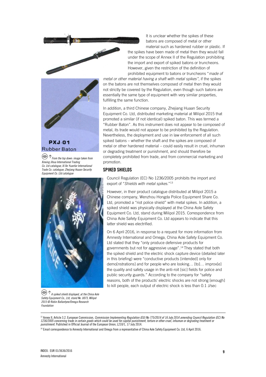



**PXJ-01 Rubber Baton** 

*From the top down: image taken from Xinxing Jihua International Trading Co. Ltd catalogue; Xi'An Yuanfar International Trade Co. catalogue; Zhejiang Huaan Security Equipment Co. Ltd catalogue*



*A spiked shield displayed, at the China Aole Safety Equipment Co., Ltd, stand No. U073, Milipol 2015 © Robin Ballantyne/Omega Research Foundation*

It is unclear whether the spikes of these batons are composed of metal or other material such as hardened rubber or plastic. If the spikes have been made of metal then they would fall under the scope of Annex II of the Regulation prohibiting the import and export of spiked batons or truncheons. However, given the restriction of the definition of prohibited equipment to batons or truncheons "*made of* 

*metal or other material having a shaft with metal spikes"*, if the spikes on the batons are not themselves composed of metal then they would not strictly be covered by the Regulation, even though such batons are essentially the same type of equipment with very similar properties, fulfilling the same function.

In addition, a third Chinese company, Zhejiang Huaan Security Equipment Co. Ltd, distributed marketing material at Milipol 2015 that promoted a similar (if not identical) spiked baton. This was termed a "Rubber Baton". As this instrument does not appear to be composed of metal, its trade would not appear to be prohibited by the Regulation. Nevertheless, the deployment and use in law enforcement of all such spiked batons – whether the shaft and the spikes are composed of metal or other hardened material – could easily result in cruel, inhuman or degrading treatment or punishment, and should therefore be completely prohibited from trade, and from commercial marketing and promotion.

### **SPIKED SHIELDS**

Council Regulation (EC) No 1236/2005 prohibits the import and export of "*Shields with metal spikes*." 13

However, in their product catalogue distributed at Milipol 2015 a Chinese company, Wenzhou Hongda Police Equipment Share Co. Ltd, promoted a "riot police shield" with metal spikes. In addition, a spiked shield was physically displayed at the China Aole Safety Equipment Co. Ltd, stand during Milipol 2015. Correspondence from China Aole Safety Equipment Co. Ltd appears to indicate that this latter shield was electrified.

On 6 April 2016, in response to a request for more information from Amnesty International and Omega, China Aole Safety Equipment Co. Ltd stated that they "only produce defensive products for governments but not for aggressive usage". <sup>14</sup> They stated that both the spiked shield and the electric shock capture device (detailed later in this briefing) were "conductive products [intended] only for demo[nstrations] and for people who are looking… [to]… improv[e] the quality and safety usage in the anti-roit [sic] fields for police and public security guards." According to the company for "safety reasons, both of the products' electric shocks are not strong [enough] to kill people, each output of electric shock is less than 0.1 J/sec

<sup>13</sup> Annex II, Article 3.2. European Commission, *Commission Implementing Regulation (EU) No 775/2014 of 16 July 2014 amending Council Regulation (EC) No 1236/2005 concerning trade in certain goods which could be used for capital punishment, torture or other cruel, inhuman or degrading treatment or punishment.* Published in Official Journal of the European Union, L210/1, 17 July 2014.

<sup>14</sup> Email correspondence to Amnesty International and Omega from a representative of China Aole Safety Equipment Co. Ltd, 6 April 2016.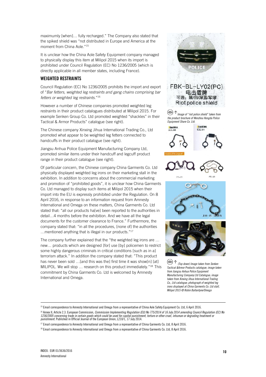maximumly [when]… fully recharged." The Company also stated that the spiked shield was "not distributed in Europe and America at the moment from China Aole." 15

It is unclear how the China Aole Safety Equipment company managed to physically display this item at Milipol 2015 when its import is prohibited under Council Regulation (EC) No 1236/2005 (which is directly applicable in all member states, including France).

# **WEIGHTED RESTRAINTS**

Council Regulation (EC) No 1236/2005 prohibits the import and export of "*Bar fetters, weighted leg restraints and gang chains comprising bar fetters or weighted leg restraints*." 16

However a number of Chinese companies promoted weighted leg restraints in their product catalogues distributed at Milipol 2015. For example Senken Group Co. Ltd promoted weighted "shackles" in their Tactical & Armor Products" catalogue (see right).

The Chinese company Xinxing Jihua International Trading Co., Ltd promoted what appear to be weighted leg fetters connected to handcuffs in their product catalogue (see right).

Jiangsu Anhua Police Equipment Manufacturing Company Ltd, promoted similar items under their handcuff and legcuff product range in their product catalogue (see right).

Of particular concern, the Chinese company China Garments Co. Ltd physically displayed weighted leg irons on their marketing stall in the exhibition. In addition to concerns about the commercial marketing and promotion of "prohibited goods", it is unclear how China Garments Co. Ltd managed to display such items at Milipol 2015 when their import into the EU is expressly prohibited under the Regulation. On 8 April 2016, in response to an information request from Amnesty International and Omega on these matters, China Garments Co. Ltd stated that: "all our products ha[ve] been reported to the authorities in detail…4 months before the exhibition. And we have all the legal documents for the customer clearance to France." Furthermore, the company stated that: "in all the procedures, [none of] the authorities …mentioned anything that is illegal in our products." 17

The company further explained that the "the weighted leg irons are … new… products which are designed [for] use [by] policemen to restrict some highly dangerous criminals in critical conditions [such as in a] terrorism attack." In addition the company stated that: "This product has never been sold ... [and this was the] first time it was show[n] [at] MILIPOL. We will stop ... research on this product immediately."<sup>18</sup> This commitment by China Garments Co. Ltd is welcomed by Amnesty International and Omega.



 $^{\circledR}$ *(Top down) Image taken from Senken Tactical &Armor Products catalogue; image taken from Jiangsu Anhua Police Equipment Manufacturing Company Ltd Catalogue; image taken from Xinxing Jihua International Trading Co., Ltd catalogue; photograph of weighted leg irons displayed at China Garments Co. Ltd stall, Milipol 2015 © Robin Ballantyne/Omega* 

<sup>15</sup> Email correspondence to Amnesty International and Omega from a representative of China Aole Safety Equipment Co. Ltd, 6 April 2016.

<sup>&</sup>lt;sup>16</sup> Annex II, Article 2.3. European Commission, *Commission Implementing Regulation (EU) No 775/2014 of 16 July 2014 amending Council Regulation (EC) No 1236/2005 concerning trade in certain goods which could be used for capital punishment, torture or other cruel, inhuman or degrading treatment or<br>punishment. Published in Official Journal of the European Union, L210/1, 17* 

<sup>&</sup>lt;sup>17</sup> Email correspondence to Amnesty International and Omega from a representative of China Garments Co. Ltd, 8 April 2016.

<sup>18</sup> Email correspondence to Amnesty International and Omega from a representative of China Garments Co. Ltd, 8 April 2016.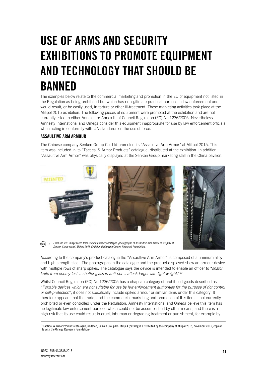# **USE OF ARMS AND SECURITY EXHIBITIONS TO PROMOTE EQUIPMENT AND TECHNOLOGY THAT SHOULD BE BANNED**

The examples below relate to the commercial marketing and promotion in the EU of equipment not listed in the Regulation as being prohibited but which has no legitimate practical purpose in law enforcement and would result, or be easily used, in torture or other ill-treatment. These marketing activities took place at the Milipol 2015 exhibition. The following pieces of equipment were promoted at the exhibition and are not currently listed in either Annex II or Annex III of Council Regulation (EC) No 1236/2005. Nevertheless, Amnesty International and Omega consider this equipment inappropriate for use by law enforcement officials when acting in conformity with UN standards on the use of force.

# **ASSAULTIVE ARM ARMOUR**

The Chinese company Senken Group Co. Ltd promoted its "Assaultive Arm Armor" at Milipol 2015. This item was included in its "Tactical & Armor Products" catalogue, distributed at the exhibition. In addition, "Assaultive Arm Armor" was physically displayed at the Senken Group marketing stall in the China pavilion.



*From the left: image taken from Senken product catalogue; photographs of Assaultive Arm Armor on display at Senken Group stand, Milipol 2015 © Robin Ballantyne/Omega Research Foundation.*

According to the company's product catalogue the "Assaultive Arm Armor" is composed of aluminium alloy and high strength steel. The photographs in the catalogue and the product displayed show an armour device with multiple rows of sharp spikes. The catalogue says the device is intended to enable an officer to "*snatch knife from enemy fast… shatter glass in anti-riot… attack target with light weight.*" 19

Whilst Council Regulation (EC) No 1236/2005 has a chapeau category of prohibited goods described as "*Portable devices which are not suitable for use by law enforcement authorities for the purpose of riot control or self-protection*", it does not specifically include spiked armour or similar items under this category. It therefore appears that the trade, and the commercial marketing and promotion of this item is not currently prohibited or even controlled under the Regulation. Amnesty International and Omega believe this item has no legitimate law enforcement purpose which could not be accomplished by other means, and there is a high risk that its use could result in cruel, inhuman or degrading treatment or punishment, for example by

<sup>19</sup> Tactical & Armor Products catalogue, undated, Senken Group Co. Ltd p.4 (catalogue distributed by the company at Milipol 2015, November 2015, copy on file with the Omega Research Foundation).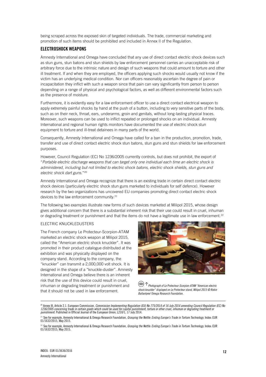being scraped across the exposed skin of targeted individuals. The trade, commercial marketing and promotion of such items should be prohibited and included in Annex II of the Regulation.

### **ELECTROSHOCK WEAPONS**

Amnesty International and Omega have concluded that any use of direct contact electric shock devices such as stun guns, stun batons and stun shields by law enforcement personnel carries an unacceptable risk of arbitrary force due to the intrinsic nature and design of such weapons that could amount to torture and other ill treatment. If and when they are employed, the officers applying such shocks would usually not know if the victim has an underlying medical condition. Nor can officers reasonably ascertain the degree of pain or incapacitation they inflict with such a weapon since that pain can vary significantly from person to person depending on a range of physical and psychological factors, as well as different environmental factors such as the presence of moisture.

Furthermore, it is evidently easy for a law enforcement officer to use a direct contact electrical weapon to apply extremely painful shocks by hand at the push of a button, including to very sensitive parts of the body, such as on their neck, throat, ears, underarms, groin and genitals, without long-lasting physical traces. Moreover, such weapons can be used to inflict repeated or prolonged shocks on an individual. Amnesty International and regional human rights monitors have documented the use of electric shock stun equipment to torture and ill-treat detainees in many parts of the world.

Consequently, Amnesty International and Omega have called for a ban in the production, promotion, trade, transfer and use of direct contact electric shock stun batons, stun guns and stun shields for law enforcement purposes.

However, Council Regulation (EC) No 1236/2005 currently controls, but does not prohibit, the export of "*Portable electric discharge weapons that can target only one individual each time an electric shock is administered, including but not limited to electric shock batons, electric shock shields, stun guns and electric shock dart guns.*" 20

Amnesty International and Omega recognize that there is an existing trade in certain direct contact electric shock devices (particularly electric shock stun guns marketed to individuals for self defence). However research by the two organizations has uncovered EU companies promoting direct contact electric shock devices to the law enforcement community.<sup>21</sup>

The following two examples illustrate new forms of such devices marketed at Milipol 2015, whose design gives additional concern that there is a substantial inherent risk that their use could result in cruel, inhuman or degrading treatment or punishment and that the items do not have a legitimate use in law enforcement.<sup>22</sup>

#### ELECTRIC KNUCKLEDUSTERS

The French company Le Protecteur-Scorpion-ATAM marketed an electric shock weapon at Milipol 2015, called the "American electric shock knuckler". It was promoted in their product catalogue distributed at the exhibition and was physically displayed on the company stand. According to the company, the "knuckler" can transmit a 2,000,000 volt shock. It is designed in the shape of a "knuckle-duster". Amnesty International and Omega believe there is an inherent risk that the use of this device could result in cruel, inhuman or degrading treatment or punishment and that it should not be used in law enforcement.



 $(\circledcirc)$ *Photograph of Le Protecteur-Scorpion-ATAM "American electric shock knuckler" displayed on Le Protecteur stand, Milipol 2015 © Robin Ballantyne/ Omega Research Foundation.* 

<sup>20</sup> Annex III, Article 2.1. European Commission, *Commission Implementing Regulation (EU) No 775/2014 of 16 July 2014 amending Council Regulation (EC) No 1236/2005 concerning trade in certain goods which could be used for capital punishment, torture or other cruel, inhuman or degrading treatment or punishment.* Published in Official Journal of the European Union, L210/1, 17 July 2014.

<sup>21</sup> See for example, Amnesty International & Omega Research Foundation*, Grasping the Nettle: Ending Europe's Trade in Torture Technology*, Index: EUR 01/1632/2015, May 2015.

<sup>22</sup> See for example, Amnesty International & Omega Research Foundation, *Grasping the Nettle: Ending Europe's Trade in Torture Technology*, Index: EUR 01/1632/2015, May 2015.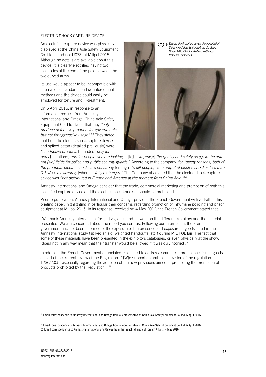#### ELECTRIC SHOCK CAPTURE DEVICE

An electrified capture device was physically displayed at the China Aole Safety Equipment Co. Ltd, stand no: U073, at Milipol 2015. Although no details are available about this device, it is clearly electrified having two electrodes at the end of the pole between the two curved arms.

Its use would appear to be incompatible with international standards on law enforcement methods and the device could easily be employed for torture and ill-treatment.

On 6 April 2016, in response to an information request from Amnesty International and Omega, China Aole Safety Equipment Co. Ltd stated that they *"only produce defensive products for governments but not for aggressive usage"*. <sup>23</sup> They stated that both the electric shock capture device and spiked baton (detailed previously) were *"conductive products* [intended] *only for* 

*Electric shock capture device photographed at China Aole Safety Equipment Co. Ltd stand, Milipol 2015 © Robin Ballantyne/Omega Research Foundation.*



*demo*[nstrations] *and for people who are looking…* [to]… *improv*[e] *the quality and safety usage in the antiroit [sic] fields for police and public security guards."* According to the company, for *"safety reasons, both of the products' electric shocks are not strong* [enough] *to kill people, each output of electric shock is less than 0.1 J/sec maximumly* [when]… *fully recharged."* The Company also stated that the electric shock capture device was "*not distributed in Europe and America at the moment from China Aole."*<sup>24</sup>

Amnesty International and Omega consider that the trade, commercial marketing and promotion of both this electrified capture device and the electric shock knuckler should be prohibited.

Prior to publication, Amnesty International and Omega provided the French Government with a draft of this briefing paper, highlighting in particular their concerns regarding promotion of inhumane policing and prison equipment at Milipol 2015. In its response, received on 4 May 2016, the French Government stated that:

"We thank Amnesty International for [its] vigilance and … work on the different exhibitors and the material presented. We are concerned about the report you sent us. Following our information, the French government had not been informed of the exposure of the presence and exposure of goods listed in the Amnesty International study (spiked shield, weighted handcuffs, etc.) during MILIPOL fair. The fact that some of these materials have been presented in the exhibitors catalogues, or even physically at the show, [does] not in any way mean that their transfer would be allowed if it was duly notified ."

In addition, the French Government enunciated its desired to address commercial promotion of such goods as part of the current review of the Regulation. " [W]e support an ambitious revision of the regulation 1236/2005- especially regarding the adoption of the new provisions aimed at prohibiting the promotion of products prohibited by the Regulation". <sup>25</sup>

<sup>23</sup> Email correspondence to Amnesty International and Omega from a representative of China Aole Safety Equipment Co. Ltd, 6 April 2016.

<sup>24</sup> Email correspondence to Amnesty International and Omega from a representative of China Aole Safety Equipment Co. Ltd, 6 April 2016. 25 Email correspondence to Amnesty International and Omega from the French Ministry of Foreign Affairs, 4 May 2016.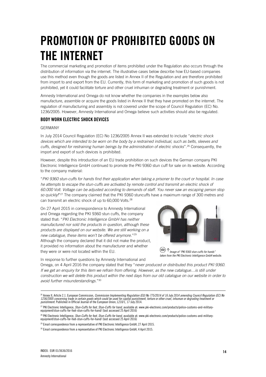# **PROMOTION OF PROHIBITED GOODS ON THE INTERNET**

The commercial marketing and promotion of items prohibited under the Regulation also occurs through the distribution of information via the internet. The illustrative cases below describe how EU-based companies use this method even though the goods are listed in Annex II of the Regulation and are therefore prohibited from import to and export from the EU. Currently, this form of marketing and promotion of such goods is not prohibited, yet it could facilitate torture and other cruel inhuman or degrading treatment or punishment.

Amnesty International and Omega do not know whether the companies in the examples below also manufacture, assemble or acquire the goods listed in Annex II that they have promoted on the internet. The regulation of manufacturing and assembly is not covered under the scope of Council Regulation (EC) No. 1236/2005. However, Amnesty International and Omega believe such activities should also be regulated.

# **BODY WORN ELECTRIC SHOCK DEVICES**

### GERMANY

In July 2014 Council Regulation (EC) No 1236/2005 Annex II was extended to include "*electric shock devices which are intended to be worn on the body by a restrained individual, such as belts, sleeves and cuffs, designed for restraining human beings by the administration of electric shocks*".<sup>26</sup> Consequently, the import and export of such devices is prohibited.

However, despite this introduction of an EU trade prohibition on such devices the German company PKI Electronic Intelligence GmbH continued to promote the PKI 9360 stun cuff for sale on its website. According to the company material:

"*PKI 9360 stun-cuffs for hands find their application when taking a prisoner to the court or hospital. In case*  he attempts to escape the stun-cuffs are activated by remote control and transmit an electric shock of *60.000 Volt. Voltage can be adjusted according to demands of staff. You never saw an escaping person stop so quickly!*" <sup>27</sup> The company claimed that the PKI 9360 stuncuffs have a maximum range of 300 metres and can transmit an electric shock of up to 60,000 Volts.<sup>28</sup>

On 27 April 2015 in correspondence to Amnesty International and Omega regarding the PKI 9360 stun cuffs, the company stated that: "*PKI Electronic Intelligence GmbH has neither manufactured nor sold the products in question, although these products are displayed on our website. We are still working on a new catalogue, these items won't be offered anymore.*" 29 Although the company declared that it did not make the product, it provided no information about the manufacturer and whether they were or were not located within the EU.



*Image of "PKI 9360 stun-cuffs for hands" taken from the PKI Electronic Intelligence GmbH website.*

In response to further questions by Amnesty International and

Omega, on 4 April 2016 the company stated that they "*never produced or distributed this product PKI 9360. If we get an enquiry for this item we refrain from offering. However, as the new catalogue…is still under construction we will delete this product within the next days from our old catalogue on our website in order to avoid further misunderstandings.*" 30

<sup>&</sup>lt;sup>26</sup> Annex II, Article 2.1. European Commission, *Commission Implementing Regulation (EU) No 775/2014 of 16 July 2014 amending Council Regulation (EC) No 1236/2005 concerning trade in certain goods which could be used for capital punishment, torture or other cruel, inhuman or degrading treatment or punishment*. Published in Official Journal of the European Union, L210/1, 17 July 2014.

<sup>&</sup>lt;sup>27</sup> PKI Electronic Intelligence, *Stun-Cuffs for foot, Stun-Cuffs for hand,* available at: www.pki-electronic.com/products/police-customs-and-military-<br>[equipment/stun-cuffs-for-foot-stun-cuffs-for-hand/](http://www.pki-electronic.com/products/police-customs-and-military-equipment/stun-cuffs-for-foot-stun-cuffs-for-hand/) (last accessed 25

<sup>28</sup> PKI Electronic Intelligence, *Stun-Cuffs for foot, Stun-Cuffs for hand,* available at: [www.pki-electronic.com/products/police-customs-and-military](http://www.pki-electronic.com/products/police-customs-and-military-equipment/stun-cuffs-for-foot-stun-cuffs-for-hand/)[equipment/stun-cuffs-for-foot-stun-cuffs-for-hand/](http://www.pki-electronic.com/products/police-customs-and-military-equipment/stun-cuffs-for-foot-stun-cuffs-for-hand/) (last accessed 25 April 2016)

<sup>&</sup>lt;sup>29</sup> Email correspondence from a representative of PKI Electronic Intelligence GmbH, 27 April 2015.

<sup>&</sup>lt;sup>30</sup> Email correspondence from a representative of PKI Electronic Intelligence GmbH, 4 April 2015.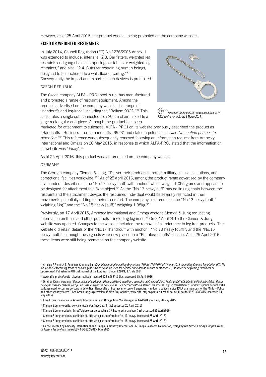However, as of 25 April 2016, the product was still being promoted on the company website.

# **FIXED OR WEIGHTED RESTRAINTS**

In July 2014, Council Regulation (EC) No 1236/2005 Annex II was extended to include, inter alia "2.3. Bar fetters, weighted leg restraints and gang chains comprising bar fetters or weighted leg restraints;" and also, "2.4. Cuffs for restraining human beings, designed to be anchored to a wall, floor or ceiling."<sup>31</sup> Consequently the import and export of such devices is prohibited.

### CZECH REPUBLIC

The Czech company ALFA - PROJ spol. s r.o, has manufactured and promoted a range of restraint equipment. Among the products advertised on the company website, is a range of "handcuffs and leg-irons" including the "Ralkem 9923." <sup>32</sup> This constitutes a single cuff connected to a 20 cm chain linked to a large rectangular end piece. Although the product has been



*Image of "Ralkem 9923" downloaded from ALFA - PROJ spol. s r.o, website, 3 March 2016.*

marketed for attachment to suitcases, ALFA - PROJ on its website previously described the product as "Handcuffs - Business - police handcuffs –9923" and stated a potential use was "*to confine persons in detention*."<sup>33</sup> This reference was subsequently removed following an information request from Amnesty International and Omega on 20 May 2015, in response to which ALFA-PROJ stated that the information on its website was "*faulty*". 34

As of 25 April 2016, this product was still promoted on the company website.

### GERMANY

The German company Clemen & Jung, "Deliver their products to police, military, justice institutions, and correctional facilities worldwide."<sup>35</sup> As of 25 April 2016, among the product range advertised by the company is a handcuff described as the "No.17 heavy [cuff] with anchor" which weighs 1,055 grams and appears to be designed for attachment to a fixed object.<sup>36</sup> As the "No.17 heavy cuff" has no linking chain between the restraint and the attachment device, the restrained individual would be severely restricted in their movements potentially adding to their discomfort. The company also promotes the "No.13 heavy [cuff]" weighing 1kg<sup>37</sup> and the "No.15 heavy [cuff]" weighing 1.38kg.<sup>38</sup>

Previously, on 17 April 2015, Amnesty International and Omega wrote to Clemen & Jung requesting information on these and other products – including leg irons. <sup>39</sup> On 22 April 2015 the Clemen & Jung website was updated. Changes to the website included the removal of all reference to leg iron products. The website did retain details of the "No.17 [hand]cuff with anchor", "No.13 heavy [cuff]", and the "No.15 heavy [cuff]", although these goods were now placed in a "Phantasise cuffs" section. As of 25 April 2016 these items were still being promoted on the company website.

<sup>&</sup>lt;sup>31</sup> Articles 2.3 and 2.4. European Commission, *Commission Implementing Regulation (EU) No 775/2014 of 16 July 2014 amending Council Regulation (EC) No 1236/2005 concerning trade in certain goods which could be used for capital punishment, torture or other cruel, inhuman or degrading treatment or punishment*. Published in Official Journal of the European Union, L210/1, 17 July 2014.

<sup>32</sup> [www.alfa-proj.cz/pouta-sluzebni-policejni-pouta/9923-s289415](http://www.alfa-proj.cz/pouta-sluzebni-policejni-pouta/9923-s289415) (last accessed 25 April 2016)

<sup>33</sup> Original Czech wording: "*Pouta policejní služební ralkem kufříková slouží pro spoutání osob po zadržení. Pouta využijí příslušníci policejních složek. Pouta policejní služební ralkem využijí i příslušníci vojenské policie a dalších bezpečnostních složek.*" Unofficial English translation: "Handcuffs police service RALK suitcase used to confine persons in detention. Handcuffs utilize law enforcement agencies. Handcuffs police service RALK use members of the Military Police and other security forces". See Czech language version of Alfra Proj website, www.alfa-proj.cz/pouta-sluzebni-policejni-pouta/9923-s289415 (accessed 14 May 2015)

<sup>34</sup> Email correspondence to Amnesty International and Omega from Vie Manager, ALFA-PROJ spol.s.r.o, 20 May 2015.

<sup>35</sup> Clemen & Jung website[, www.clejuso.de/en/index.html](http://www.clejuso.de/en/index.html) (last accessed 25 April 2016)

<sup>36</sup> Clemen & Jung products, http://clejuso.com/product/no-17-heavy-with-anchor/ (last accessed 25 April2016)

<sup>37</sup> Clemen & Jung products, available at: http://clejuso.com/product/no-13-heavy/ (accessed 25 April 2016)

<sup>38</sup> Clemen & Jung products, available at: http://clejuso.com/product/no-15-heavy/ (accessed 25 April 2016)

<sup>39</sup> As documented by Amnesty International and Omega in Amnesty International & Omega Research Foundation, *Grasping the Nettle: Ending Europe's Trade in Torture Technology*, Index: EUR 01/1632/2015, May 2015.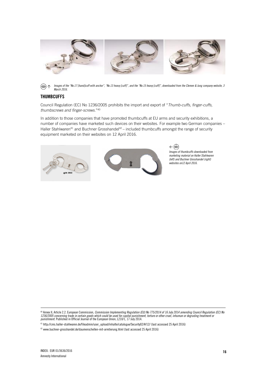

*Images of the "No.17 [hand]cuff with anchor", "No.13 heavy [cuff]", and the "No.15 heavy [cuff]", downloaded from the Clemen & Jung company website, 3 March 2016.*

# **THUMBCUFFS**

Council Regulation (EC) No 1236/2005 prohibits the import and export of "*Thumb-cuffs, finger-cuffs, thumbscrews and finger-screws.*" 40

In addition to those companies that have promoted thumbcuffs at EU arms and security exhibitions, a number of companies have marketed such devices on their websites. For example two German companies – Haller Stahlwaren<sup>41</sup> and Buchner Grosshandel<sup>42</sup> – included thumbcuffs amongst the range of security equipment marketed on their websites on 12 April 2016.



 $\leftarrow \textcircled{\scriptsize{0}}$ *Images of thumbcuffs downloaded from marketing material on Haller Stahlwaren (left) and Buchner Grosshandel (right) websites on12 April 2016.*

<sup>40</sup> Annex II, Article 2.2. European Commission, *Commission Implementing Regulation (EU) No 775/2014 of 16 July 2014 amending Council Regulation (EC) No<br><i>1236/2005 concerning trade in certain goods which could be used for* 

<sup>41</sup> [http://cms.haller-stahlwaren.de/fileadmin/user\\_upload/inhalte/catalogue/Security02/#/12/](http://cms.haller-stahlwaren.de/fileadmin/user_upload/inhalte/catalogue/Security02/#/12/) (last accessed 25 April 2016)

<sup>42</sup> [www.buchner-grosshandel.de/daumenschellen-mit-arretierung.html](http://www.buchner-grosshandel.de/daumenschellen-mit-arretierung.html) (last accessed 25 April 2016)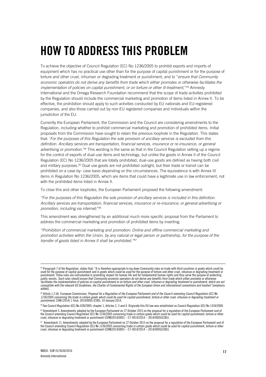# **HOW TO ADDRESS THIS PROBLEM**

To achieve the objective of Council Regulation (EC) No 1236/2005 to prohibit exports and imports of equipment which has no practical use other than for the purpose of capital punishment or for the purpose of torture and other cruel, inhuman or degrading treatment or punishment, and to "*ensure that Community economic operators do not derive any benefits from trade which either promotes or otherwise facilitates the*  implementation of policies on capital punishment, or on torture or other ill-treatment,"<sup>43</sup> Amnesty International and the Omega Research Foundation recommend that the scope of trade activities prohibited by the Regulation should include the commercial marketing and promotion of items listed in Annex II. To be effective, the prohibition should apply to such activities conducted by EU nationals and EU-registered companies, and also those carried out by non-EU registered companies and individuals within the jurisdiction of the EU.

Currently the European Parliament, the Commission and the Council are considering amendments to the Regulation, including whether to prohibit commercial marketing and promotion of prohibited items. Initial proposals from the Commission have sought to retain the previous loophole in the Regulation. This states that: '*For the purposes of this Regulation the sole provision of ancillary services is excluded from this*  definition. Ancillary services are transportation, financial services, insurance or re-insurance, or general *advertising or promotion*.'<sup>44</sup> This wording is the same as that in the Council Regulation setting up a regime for the control of exports of dual-use items and technology, but unlike the goods in Annex II of the Council Regulation (EC) No 1236/2005 that are totally prohibited, dual-use goods are defined as having both civil and military purposes.<sup>45</sup> Dual use goods are not prohibited outright, but their trade or transit can be prohibited on a case-by- case basis depending on the circumstances. The equivalence is with Annex III items in Regulation No 1236/2005, which are items that could have a legitimate use in law enforcement, not with the prohibited items listed in Annex II.

To close this and other loopholes, the European Parliament proposed the following amendment:

*"For the purposes of this Regulation the sole provision of ancillary services is included in this definition. Ancillary services are transportation, financial services, insurance or re-insurance, or general advertising or promotion, including via internet;*" 46

This amendment was strengthened by an additional much more specific proposal from the Parliament to address the commercial marketing and promotion of prohibited items by inserting:

*"Prohibition of commercial marketing and promotion: Online and offline commercial marketing and promotion activities within the Union, by any natural or legal person or partnership, for the purpose of the transfer of goods listed in Annex II shall be prohibited."* 47

<sup>43</sup> Paragraph 7 of the Regulation, states that: "It is therefore appropriate to lay down Community rules on trade with third countries in goods which could be used for the purpose of capital punishment and in goods which could be used for the purpose of torture and other cruel, inhuman or degrading treatment or<br>punishment. These rules are instrumental in promoting respect for hu public morals. *Such rules should ensure that Community economic operators do not derive any benefits from trade which either promotes or otherwise*  facilitates the implementation of policies on capital punishment or on torture and other cruel, inhuman or degrading treatment or punishment, which are not<br>compatible with the relevant EU Guidelines, the Charter of Fundame added].

<sup>44</sup> Article 1.2.(k). European Commission, *Proposal for a Regulation of the European Parliament and of the Council amending Council Regulation (EC) No*  1236/2005 concerning the trade in certain goods which could be used for capital punishment, torture or other cruel, inhuman or degrading treatment or<br>punishment, COM (2014) 1 final, 2014/0005 (COD), 14 January 2014.

<sup>45</sup> See Council Regulation (EC) No 428/2009, chapter 1, Articles 2, 3 and 4. Originally this EU law was established as Council Regulation (EC) No 1334/2000.

<sup>46</sup> Amendment 5. Amendments adopted by the European Parliament on 27 October 2015 on the proposal for a regulation of the European Parliament and of the Council amending Council Regulation (EC) No 1236/2005 concerning trade in certain goods which could be used for capital punishment, torture or other<br>cruel, inhuman or degrading treatment or punishment [\(COM\(2014\)0001](http://eur-lex.europa.eu/smartapi/cgi/sga_doc?smartapi!celexplus!prod!DocNumber&lg=EN&type_doc=COMfinal&an_doc=2014&nu_doc=0001) –

<sup>47</sup> Amendment 11. Amendments adopted by the European Parliament on 27 October 2015 on the proposal for a regulation of the European Parliament and of the Council amending Council Regulation (EC) No 1236/2005 concerning trade in certain goods which could be used for capital punishment, torture or other<br>cruel, inhuman or degrading treatment or punishment [\(COM\(2014\)0001](http://eur-lex.europa.eu/smartapi/cgi/sga_doc?smartapi!celexplus!prod!DocNumber&lg=EN&type_doc=COMfinal&an_doc=2014&nu_doc=0001) –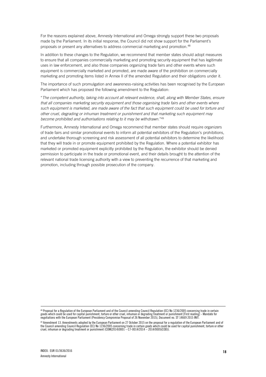For the reasons explained above, Amnesty International and Omega strongly support these two proposals made by the Parliament. In its initial response, the Council did not show support for the Parliament's proposals or present any alternatives to address commercial marketing and promotion.<sup>48</sup>

In addition to these changes to the Regulation, we recommend that member states should adopt measures to ensure that all companies commercially marketing and promoting security equipment that has legitimate uses in law enforcement, and also those companies organizing trade fairs and other events where such equipment is commercially marketed and promoted, are made aware of the prohibition on commercially marketing and promoting items listed in Annex II of the amended Regulation and their obligations under it.

The importance of such promulgation and awareness-raising activities has been recognised by the European Parliament which has proposed the following amendment to the Regulation:

"*The competent authority, taking into account all relevant evidence, shall, along with Member States, ensure that all companies marketing security equipment and those organising trade fairs and other events where such equipment is marketed, are made aware of the fact that such equipment could be used for torture and other cruel, degrading or inhuman treatment or punishment and that marketing such equipment may become prohibited and authorisations relating to it may be withdrawn.*" 49

Furthermore, Amnesty International and Omega recommend that member states should require organizers of trade fairs and similar promotional events to inform all potential exhibitors of the Regulation's prohibitions, and undertake thorough screening and risk assessment of all potential exhibitors to determine the likelihood that they will trade in or promote equipment prohibited by the Regulation. Where a potential exhibitor has marketed or promoted equipment explicitly prohibited by the Regulation, the exhibitor should be denied permission to participate in the trade or promotional event, and their details brought to the attention of the relevant national trade licensing authority with a view to preventing the recurrence of that marketing and promotion, including through possible prosecution of the company.

<sup>48</sup> Proposal for a Regulation of the European Parliament and of the Council amending Council Regulation (EC) No 1236/2005 concerning trade in certain goods which could be used for capital punishment, torture or other cruel, inhuman or degrading treatment or punishment [First reading] - Mandate for<br>negotiations with the European Parliament (Presidency Compromise Proposal

<sup>49</sup> Amendment 13. Amendments adopted by the European Parliament on 27 October 2015 on the proposal for a regulation of the European Parliament and of the Council amending Council Regulation (EC) No 1236/2005 concerning trade in certain goods which could be used for capital punishment, torture or other<br>cruel, inhuman or degrading treatment or punishment [\(COM\(2014\)0001](http://eur-lex.europa.eu/smartapi/cgi/sga_doc?smartapi!celexplus!prod!DocNumber&lg=EN&type_doc=COMfinal&an_doc=2014&nu_doc=0001) –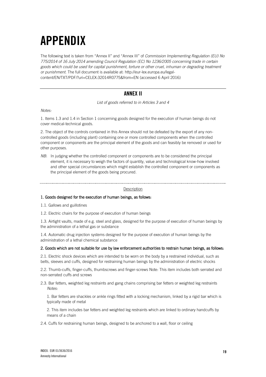# **APPENDIX**

The following text is taken from "Annex II" and "Annex III" of *Commission Implementing Regulation (EU) No 775/2014 of 16 July 2014 amending Council Regulation (EC) No 1236/2005 concerning trade in certain goods which could be used for capital punishment, torture or other cruel, inhuman or degrading treatment or punishment.* The full document is available at: [http://eur-lex.europa.eu/legal](http://eur-lex.europa.eu/legal-content/EN/TXT/PDF/?uri=CELEX:32014R0775&from=EN)[content/EN/TXT/PDF/?uri=CELEX:32014R0775&from=EN](http://eur-lex.europa.eu/legal-content/EN/TXT/PDF/?uri=CELEX:32014R0775&from=EN) (accessed 6 April 2016)

# **ANNEX II**

*List of goods referred to in Articles 3 and 4*

*Notes:*

1. Items 1.3 and 1.4 in Section 1 concerning goods designed for the execution of human beings do not cover medical-technical goods.

2. The object of the controls contained in this Annex should not be defeated by the export of any noncontrolled goods (including plant) containing one or more controlled components when the controlled component or components are the principal element of the goods and can feasibly be removed or used for other purposes.

*NB*: In judging whether the controlled component or components are to be considered the principal element, it is necessary to weigh the factors of quantity, value and technological know-how involved and other special circumstances which might establish the controlled component or components as the principal element of the goods being procured.

#### **Description**

### 1. Goods designed for the execution of human beings, as follows:

1.1. Gallows and guillotines

1.2. Electric chairs for the purpose of execution of human beings

1.3. Airtight vaults, made of e.g. steel and glass, designed for the purpose of execution of human beings by the administration of a lethal gas or substance

1.4. Automatic drug injection systems designed for the purpose of execution of human beings by the administration of a lethal chemical substance

### 2. Goods which are not suitable for use by law enforcement authorities to restrain human beings, as follows:

2.1. Electric shock devices which are intended to be worn on the body by a restrained individual, such as belts, sleeves and cuffs, designed for restraining human beings by the administration of electric shocks

2.2. Thumb-cuffs, finger-cuffs, thumbscrews and finger-screws Note: This item includes both serrated and non-serrated cuffs and screws

2.3. Bar fetters, weighted leg restraints and gang chains comprising bar fetters or weighted leg restraints *Notes:*

1. Bar fetters are shackles or ankle rings fitted with a locking mechanism, linked by a rigid bar which is typically made of metal

2. This item includes bar fetters and weighted leg restraints which are linked to ordinary handcuffs by means of a chain

2.4. Cuffs for restraining human beings, designed to be anchored to a wall, floor or ceiling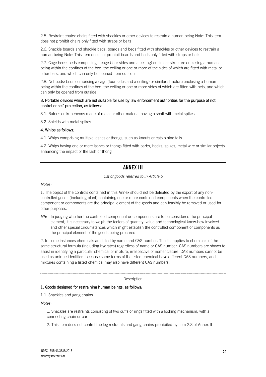2.5. Restraint chairs: chairs fitted with shackles or other devices to restrain a human being Note: This item does not prohibit chairs only fitted with straps or belts

2.6. Shackle boards and shackle beds: boards and beds fitted with shackles or other devices to restrain a human being Note: This item does not prohibit boards and beds only fitted with straps or belts

2.7. Cage beds: beds comprising a cage (four sides and a ceiling) or similar structure enclosing a human being within the confines of the bed, the ceiling or one or more of the sides of which are fitted with metal or other bars, and which can only be opened from outside

2.8. Net beds: beds comprising a cage (four sides and a ceiling) or similar structure enclosing a human being within the confines of the bed, the ceiling or one or more sides of which are fitted with nets, and which can only be opened from outside

### 3. Portable devices which are not suitable for use by law enforcement authorities for the purpose of riot control or self-protection, as follows:

3.1. Batons or truncheons made of metal or other material having a shaft with metal spikes

3.2. Shields with metal spikes

#### 4. Whips as follows:

4.1. Whips comprising multiple lashes or thongs, such as knouts or cats o'nine tails

4.2. Whips having one or more lashes or thongs fitted with barbs, hooks, spikes, metal wire or similar objects enhancing the impact of the lash or thong'

# **ANNEX III**

### *List of goods referred to in Article 5*

*Notes:* 

1. The object of the controls contained in this Annex should not be defeated by the export of any noncontrolled goods (including plant) containing one or more controlled components when the controlled component or components are the principal element of the goods and can feasibly be removed or used for other purposes.

*NB*: In judging whether the controlled component or components are to be considered the principal element, it is necessary to weigh the factors of quantity, value and technological know-how involved and other special circumstances which might establish the controlled component or components as the principal element of the goods being procured.

2. In some instances chemicals are listed by name and CAS number. The list applies to chemicals of the same structural formula (including hydrates) regardless of name or CAS number. CAS numbers are shown to assist in identifying a particular chemical or mixture, irrespective of nomenclature. CAS numbers cannot be used as unique identifiers because some forms of the listed chemical have different CAS numbers, and mixtures containing a listed chemical may also have different CAS numbers.

#### **Description**

### 1. Goods designed for restraining human beings, as follows:

1.1. Shackles and gang chains

*Notes:* 

1. Shackles are restraints consisting of two cuffs or rings fitted with a locking mechanism, with a connecting chain or bar

2. This item does not control the leg restraints and gang chains prohibited by item 2.3 of Annex II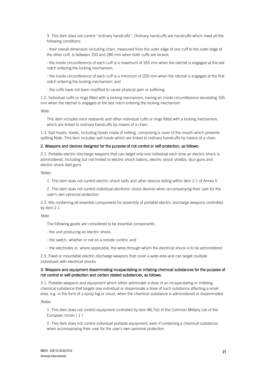3. This item does not control "ordinary handcuffs". Ordinary handcuffs are handcuffs which meet all the following conditions:

- their overall dimension including chain, measured from the outer edge of one cuff to the outer edge of the other cuff, is between 150 and 280 mm when both cuffs are locked;

- the inside circumference of each cuff is a maximum of 165 mm when the ratchet is engaged at the last notch entering the locking mechanism;

- the inside circumference of each cuff is a minimum of 200 mm when the ratchet is engaged at the first notch entering the locking mechanism; and

- the cuffs have not been modified to cause physical pain or suffering.

1.2. Individual cuffs or rings fitted with a locking mechanism, having an inside circumference exceeding 165 mm when the ratchet is engaged at the last notch entering the locking mechanism

*Note:*

This item includes neck restraints and other individual cuffs or rings fitted with a locking mechanism, which are linked to ordinary handcuffs by means of a chain

1.3. Spit hoods: hoods, including hoods made of netting, comprising a cover of the mouth which prevents spitting Note: This item includes spit hoods which are linked to ordinary handcuffs by means of a chain

#### 2. Weapons and devices designed for the purpose of riot control or self-protection, as follows:

2.1. Portable electric discharge weapons that can target only one individual each time an electric shock is administered, including but not limited to electric shock batons, electric shock shields, stun guns and electric shock dart guns

*Notes:* 

1. This item does not control electric shock belts and other devices falling within item 2.1 of Annex II

2. This item does not control individual electronic shock devices when accompanying their user for the user's own personal protection

2.2. Kits containing all essential components for assembly of portable electric discharge weapons controlled by item 2.1

*Note:*

The following goods are considered to be essential components:

- the unit producing an electric shock,
- the switch, whether or not on a remote control, and
- the electrodes or, where applicable, the wires through which the electrical shock is to be administered

2.3. Fixed or mountable electric discharge weapons that cover a wide area and can target multiple individuals with electrical shocks

#### 3. Weapons and equipment disseminating incapacitating or irritating chemical substances for the purpose of riot control or self-protection and certain related substances, as follows:

3.1. Portable weapons and equipment which either administer a dose of an incapacitating or irritating chemical substance that targets one individual or disseminate a dose of such substance affecting a small area, e.g. in the form of a spray fog or cloud, when the chemical substance is administered or disseminated

*Notes:* 

1. This item does not control equipment controlled by item ML7(e) of the Common Military List of the European Union ( 1 )

2. This item does not control individual portable equipment, even if containing a chemical substance, when accompanying their user for the user's own personal protection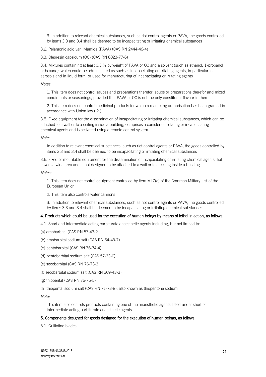3. In addition to relevant chemical substances, such as riot control agents or PAVA, the goods controlled by items 3.3 and 3.4 shall be deemed to be incapacitating or irritating chemical substances

3.2. Pelargonic acid vanillylamide (PAVA) (CAS RN 2444-46-4)

3.3. Oleoresin capsicum (OC) (CAS RN 8023-77-6)

3.4. Mixtures containing at least 0,3 % by weight of PAVA or OC and a solvent (such as ethanol, 1-propanol or hexane), which could be administered as such as incapacitating or irritating agents, in particular in aerosols and in liquid form, or used for manufacturing of incapacitating or irritating agents

#### *Notes:*

1. This item does not control sauces and preparations therefor, soups or preparations therefor and mixed condiments or seasonings, provided that PAVA or OC is not the only constituent flavour in them

2. This item does not control medicinal products for which a marketing authorisation has been granted in accordance with Union law ( 2 )

3.5. Fixed equipment for the dissemination of incapacitating or irritating chemical substances, which can be attached to a wall or to a ceiling inside a building, comprises a canister of irritating or incapacitating chemical agents and is activated using a remote control system

*Note:*

In addition to relevant chemical substances, such as riot control agents or PAVA, the goods controlled by items 3.3 and 3.4 shall be deemed to be incapacitating or irritating chemical substances

3.6. Fixed or mountable equipment for the dissemination of incapacitating or irritating chemical agents that covers a wide area and is not designed to be attached to a wall or to a ceiling inside a building

*Notes:*

1. This item does not control equipment controlled by item ML7(e) of the Common Military List of the European Union

2. This item also controls water cannons

3. In addition to relevant chemical substances, such as riot control agents or PAVA, the goods controlled by items 3.3 and 3.4 shall be deemed to be incapacitating or irritating chemical substances

### 4. Products which could be used for the execution of human beings by means of lethal injection, as follows:

- 4.1. Short and intermediate acting barbiturate anaesthetic agents including, but not limited to:
- (a) amobarbital (CAS RN 57-43-2
- (b) amobarbital sodium salt (CAS RN 64-43-7)
- (c) pentobarbital (CAS RN 76-74-4)
- (d) pentobarbital sodium salt (CAS 57-33-0)
- (e) secobarbital (CAS RN 76-73-3
- (f) secobarbital sodium salt (CAS RN 309-43-3)
- (g) thiopental (CAS RN 76-75-5)
- (h) thiopental sodium salt (CAS RN 71-73-8), also known as thiopentone sodium

*Note:*

This item also controls products containing one of the anaesthetic agents listed under short or intermediate acting barbiturate anaesthetic agents

#### 5. Components designed for goods designed for the execution of human beings, as follows:

5.1. Guillotine blades